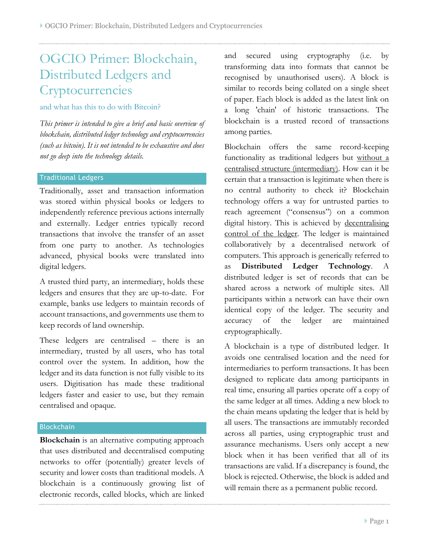# OGCIO Primer: Blockchain, Distributed Ledgers and **Cryptocurrencies**

### and what has this to do with Bitcoin?

*This primer is intended to give a brief and basic overview of blockchain, distributed ledger technology and cryptocurrencies (such as bitcoin). It is not intended to be exhaustive and does not go deep into the technology details.*

## Traditional Ledgers

Traditionally, asset and transaction information was stored within physical books or ledgers to independently reference previous actions internally and externally. Ledger entries typically record transactions that involve the transfer of an asset from one party to another. As technologies advanced, physical books were translated into digital ledgers.

A trusted third party, an intermediary, holds these ledgers and ensures that they are up-to-date. For example, banks use ledgers to maintain records of account transactions, and governments use them to keep records of land ownership.

These ledgers are centralised – there is an intermediary, trusted by all users, who has total control over the system. In addition, how the ledger and its data function is not fully visible to its users. Digitisation has made these traditional ledgers faster and easier to use, but they remain centralised and opaque.

#### **Blockchain**

**Blockchain** is an alternative computing approach that uses distributed and decentralised computing networks to offer (potentially) greater levels of security and lower costs than traditional models. A blockchain is a continuously growing list of electronic records, called blocks, which are linked

and secured using cryptography (i.e. by transforming data into formats that cannot be recognised by unauthorised users). A block is similar to records being collated on a single sheet of paper. Each block is added as the latest link on a long 'chain' of historic transactions. The blockchain is a trusted record of transactions among parties.

Blockchain offers the same record-keeping functionality as traditional ledgers but without a centralised structure (intermediary). How can it be certain that a transaction is legitimate when there is no central authority to check it? Blockchain technology offers a way for untrusted parties to reach agreement ("consensus") on a common digital history. This is achieved by decentralising control of the ledger. The ledger is maintained collaboratively by a decentralised network of computers. This approach is generically referred to as **Distributed Ledger Technology**. A distributed ledger is set of records that can be shared across a network of multiple sites. All participants within a network can have their own identical copy of the ledger. The security and accuracy of the ledger are maintained cryptographically.

A blockchain is a type of distributed ledger. It avoids one centralised location and the need for intermediaries to perform transactions. It has been designed to replicate data among participants in real time, ensuring all parties operate off a copy of the same ledger at all times. Adding a new block to the chain means updating the ledger that is held by all users. The transactions are immutably recorded across all parties, using cryptographic trust and assurance mechanisms. Users only accept a new block when it has been verified that all of its transactions are valid. If a discrepancy is found, the block is rejected. Otherwise, the block is added and will remain there as a permanent public record.